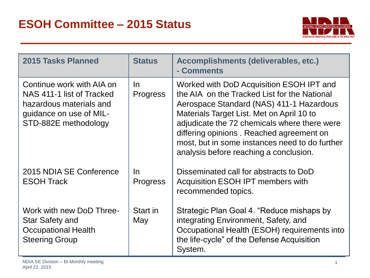

| 2015 Tasks Planned                                                                                                                   | <b>Status</b>          | Accomplishments (deliverables, etc.)<br>- Comments                                                                                                                                                                                                                                                                                                                        |
|--------------------------------------------------------------------------------------------------------------------------------------|------------------------|---------------------------------------------------------------------------------------------------------------------------------------------------------------------------------------------------------------------------------------------------------------------------------------------------------------------------------------------------------------------------|
| Continue work with AIA on<br>NAS 411-1 list of Tracked<br>hazardous materials and<br>guidance on use of MIL-<br>STD-882E methodology | In.<br><b>Progress</b> | Worked with DoD Acquisition ESOH IPT and<br>the AIA on the Tracked List for the National<br>Aerospace Standard (NAS) 411-1 Hazardous<br>Materials Target List. Met on April 10 to<br>adjudicate the 72 chemicals where there were<br>differing opinions. Reached agreement on<br>most, but in some instances need to do further<br>analysis before reaching a conclusion. |
| 2015 NDIA SE Conference<br><b>ESOH Track</b>                                                                                         | In<br><b>Progress</b>  | Disseminated call for abstracts to DoD<br>Acquisition ESOH IPT members with<br>recommended topics.                                                                                                                                                                                                                                                                        |
| Work with new DoD Three-<br>Star Safety and<br><b>Occupational Health</b><br><b>Steering Group</b>                                   | Start in<br>May        | Strategic Plan Goal 4. "Reduce mishaps by<br>integrating Environment, Safety, and<br>Occupational Health (ESOH) requirements into<br>the life-cycle" of the Defense Acquisition<br>System.                                                                                                                                                                                |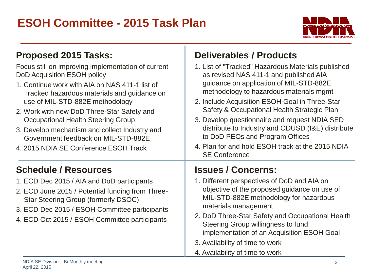## **ESOH Committee - 2015 Task Plan**



| Proposed 2015 Tasks:                                                                                                                                                                                                                                                                                                                                                                                                                              | <b>Deliverables / Products</b>                                                                                                                                                                                                                                                                                                                                                                                                                                                                           |
|---------------------------------------------------------------------------------------------------------------------------------------------------------------------------------------------------------------------------------------------------------------------------------------------------------------------------------------------------------------------------------------------------------------------------------------------------|----------------------------------------------------------------------------------------------------------------------------------------------------------------------------------------------------------------------------------------------------------------------------------------------------------------------------------------------------------------------------------------------------------------------------------------------------------------------------------------------------------|
| Focus still on improving implementation of current<br>DoD Acquisition ESOH policy<br>1. Continue work with AIA on NAS 411-1 list of<br>Tracked hazardous materials and guidance on<br>use of MIL-STD-882E methodology<br>2. Work with new DoD Three-Star Safety and<br><b>Occupational Health Steering Group</b><br>3. Develop mechanism and collect Industry and<br>Government feedback on MIL-STD-882E<br>4. 2015 NDIA SE Conference ESOH Track | 1. List of "Tracked" Hazardous Materials published<br>as revised NAS 411-1 and published AIA<br>guidance on application of MIL-STD-882E<br>methodology to hazardous materials mgmt<br>2. Include Acquisition ESOH Goal in Three-Star<br>Safety & Occupational Health Strategic Plan<br>3. Develop questionnaire and request NDIA SED<br>distribute to Industry and ODUSD (I&E) distribute<br>to DoD PEOs and Program Offices<br>4. Plan for and hold ESOH track at the 2015 NDIA<br><b>SE Conference</b> |
| <b>Schedule / Resources</b>                                                                                                                                                                                                                                                                                                                                                                                                                       | <b>Issues / Concerns:</b>                                                                                                                                                                                                                                                                                                                                                                                                                                                                                |
| 1. ECD Dec 2015 / AIA and DoD participants<br>2. ECD June 2015 / Potential funding from Three-<br>Star Steering Group (formerly DSOC)<br>3. ECD Dec 2015 / ESOH Committee participants<br>4. ECD Oct 2015 / ESOH Committee participants                                                                                                                                                                                                           | 1. Different perspectives of DoD and AIA on<br>objective of the proposed guidance on use of<br>MIL-STD-882E methodology for hazardous<br>materials management<br>2. DoD Three-Star Safety and Occupational Health<br>Steering Group willingness to fund<br>implementation of an Acquisition ESOH Goal<br>3. Availability of time to work                                                                                                                                                                 |

Ŧ